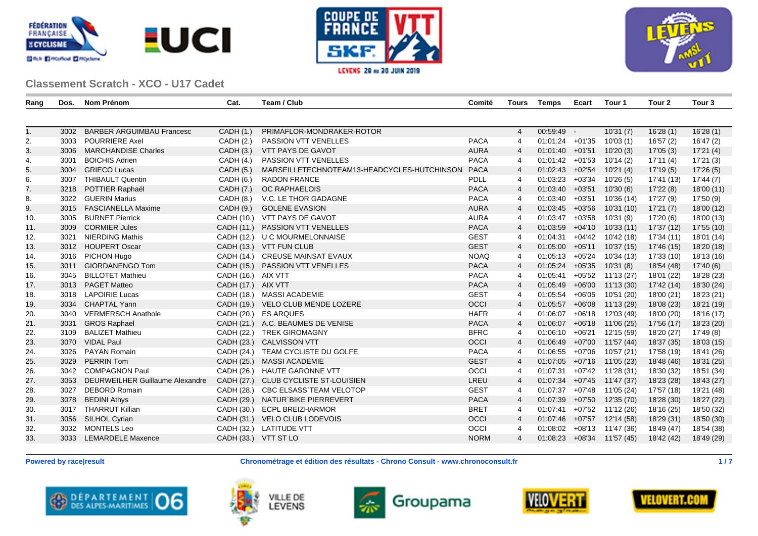





| Rang | Dos. | Nom Prénom                       | Cat.                 | Team / Club                                 | Comité      | <b>Tours</b>   | <b>Temps</b>       | Ecart    | Tour 1                       | Tour <sub>2</sub> | Tour <sub>3</sub> |
|------|------|----------------------------------|----------------------|---------------------------------------------|-------------|----------------|--------------------|----------|------------------------------|-------------------|-------------------|
|      |      |                                  |                      |                                             |             |                |                    |          |                              |                   |                   |
| 1.   | 3002 | <b>BARBER ARGUIMBAU Francesc</b> | CADH (1.)            | PRIMAFLOR-MONDRAKER-ROTOR                   |             | $\overline{4}$ | 00:59:49 -         |          | 10'31(7)                     | 16'28(1)          | 16'28(1)          |
| 2.   | 3003 | <b>POURRIERE Axel</b>            | CADH (2.)            | <b>PASSION VTT VENELLES</b>                 | <b>PACA</b> | 4              | $01:01:24$ +01'35  |          | 10'03(1)                     | 16'57 (2)         | 16'47(2)          |
| 3.   | 3006 | <b>MARCHANDISE Charles</b>       | CADH (3.)            | VTT PAYS DE GAVOT                           | <b>AURA</b> | $\overline{4}$ | $01:01:40$ +01'51  |          | 10'20(3)                     | 17'05(3)          | 17'21 (4)         |
| 4.   | 3001 | <b>BOICHIS Adrien</b>            | CADH (4.)            | PASSION VTT VENELLES                        | <b>PACA</b> | $\overline{4}$ | $01:01:42$ +01'53  |          | 10'14(2)                     | 17'11(4)          | 17'21(3)          |
| 5.   | 3004 | <b>GRIECO Lucas</b>              | CADH (5.)            | MARSEILLETECHNOTEAM13-HEADCYCLES-HUTCHINSON | <b>PACA</b> | $\overline{4}$ | $01:02:43$ +02'54  |          | 10'21(4)                     | 17'19(5)          | 17'26 (5)         |
| 6.   | 3007 | <b>THIBAULT Quentin</b>          | CADH(6.)             | <b>RADON FRANCE</b>                         | <b>PDLL</b> | $\overline{4}$ | $01:03:23$ +03'34  |          | 10'26(5)                     | 17'41 (13)        | 17'44(7)          |
| 7.   | 3218 | POTTIER Raphaël                  | CADH (7.)            | <b>OC RAPHAELOIS</b>                        | <b>PACA</b> | $\overline{4}$ | $01:03:40$ +03'51  |          | 10'30(6)                     | 17'22 (8)         | 18'00 (11)        |
| 8.   | 3022 | <b>GUERIN Marius</b>             | CADH (8.)            | V.C. LE THOR GADAGNE                        | <b>PACA</b> | 4              | $01:03:40$ +03'51  |          | 10'36 (14)                   | 17'27 (9)         | 17'50 (9)         |
| 9.   | 3015 | <b>FASCIANELLA Maxime</b>        | CADH (9.)            | <b>GOLENE EVASION</b>                       | <b>AURA</b> | $\overline{4}$ | $01:03:45$ +03'56  |          | 10'31 (10)                   | 17'21(7)          | 18'00 (12)        |
| 10.  | 3005 | <b>BURNET Pierrick</b>           |                      | CADH (10.) VTT PAYS DE GAVOT                | <b>AURA</b> | 4              | 01:03:47           | $+03'58$ | 10'31 (9)                    | 17'20 (6)         | 18'00 (13)        |
| 11.  | 3009 | <b>CORMIER Jules</b>             |                      | CADH (11.) PASSION VTT VENELLES             | <b>PACA</b> | $\overline{4}$ | $01:03:59$ +04'10  |          | 10'33(11)                    | 17'37 (12)        | 17'55 (10)        |
| 12.  | 3021 | <b>NIERDING Mathis</b>           |                      | CADH (12.) U C MOURMELONNAISE               | <b>GEST</b> | 4              | 01:04:31           | $+04'42$ | 10'42 (18)                   | 17'34 (11)        | 18'01 (14)        |
| 13.  |      | 3012 HOUPERT Oscar               |                      | CADH (13.) VTT FUN CLUB                     | <b>GEST</b> | $\overline{4}$ | 01:05:00           | $+05'11$ | 10'37(15)                    | 17'46 (15)        | 18'20 (18)        |
| 14.  | 3016 | <b>PICHON Hugo</b>               |                      | CADH (14.) CREUSE MAINSAT EVAUX             | <b>NOAQ</b> | $\overline{4}$ | $01:05:13$ +05'24  |          | 10'34 (13)                   | 17'33 (10)        | 18'13 (16)        |
| 15.  | 3011 | <b>GIORDANENGO Tom</b>           |                      | CADH (15.) PASSION VTT VENELLES             | <b>PACA</b> | $\overline{4}$ | $01:05:24$ +05'35  |          | 10'31(8)                     | 18'54 (48)        | 17'40(6)          |
| 16.  | 3045 | <b>BILLOTET Mathieu</b>          | CADH (16.) AIX VTT   |                                             | <b>PACA</b> | $\overline{4}$ | 01:05:41           |          | $+05'52$ 11'13 (27)          | 18'01 (22)        | 18'28 (23)        |
| 17.  |      | 3013 PAGET Matteo                | CADH (17.) AIX VTT   |                                             | <b>PACA</b> | $\overline{4}$ | $01:05:49$ +06'00  |          | 11'13 (30)                   | 17'42 (14)        | 18'30 (24)        |
| 18.  | 3018 | <b>LAPOIRIE Lucas</b>            |                      | CADH (18.) MASSI ACADEMIE                   | <b>GEST</b> | 4              | 01:05:54           | $+06'05$ | 10'51 (20)                   | 18'00 (21)        | 18'23 (21)        |
| 19.  | 3034 | <b>CHAPTAL Yann</b>              |                      | CADH (19.) VELO CLUB MENDE LOZERE           | OCCI        | $\overline{4}$ | 01:05:57           | $+06'08$ | 11'13 (29)                   | 18'08 (23)        | 18'21 (19)        |
| 20.  | 3040 | <b>VERMERSCH Anathole</b>        |                      | CADH (20.) ES ARQUES                        | <b>HAFR</b> | $\overline{4}$ | 01:06:07           | $+06'18$ | 12'03 (49)                   | 18'00 (20)        | 18'16 (17)        |
| 21.  | 3031 | <b>GROS Raphael</b>              |                      | CADH (21.) A.C. BEAUMES DE VENISE           | <b>PACA</b> | $\overline{4}$ |                    |          | 01:06:07 +06'18 11'06 (25)   | 17'56 (17)        | 18'23 (20)        |
| 22.  | 3109 | <b>BALIZET Mathieu</b>           |                      | CADH (22.) TREK GIROMAGNY                   | <b>BFRC</b> | $\overline{4}$ | $01:06:10 + 06'21$ |          | 12'15 (59)                   | 18'20 (27)        | 17'49 (8)         |
| 23.  |      | 3070 VIDAL Paul                  |                      | CADH (23.) CALVISSON VTT                    | OCCI        | $\overline{4}$ |                    |          | 01:06:49 +07'00 11'57 (44)   | 18'37 (35)        | 18'03 (15)        |
| 24.  | 3026 | <b>PAYAN Romain</b>              |                      | CADH (24.) TEAM CYCLISTE DU GOLFE           | <b>PACA</b> | 4              | $01:06:55$ +07'06  |          | 10'57 (21)                   | 17'58 (19)        | 18'41 (26)        |
| 25.  | 3029 | <b>PERRIN Tom</b>                | CADH (25.)           | <b>MASSI ACADEMIE</b>                       | <b>GEST</b> | $\overline{4}$ | $01:07:05$ +07'16  |          | 11'05 (23)                   | 18'48 (46)        | 18'31 (25)        |
| 26.  | 3042 | <b>COMPAGNON Paul</b>            |                      | CADH (26.) HAUTE GARONNE VTT                | OCCI        | 4              | 01:07:31           |          | $+07'42$ 11'28 (31)          | 18'30 (32)        | 18'51 (34)        |
| 27.  | 3053 | DEURWEILHER Guillaume Alexandre  | CADH (27.)           | CLUB CYCLISTE ST-LOUISIEN                   | LREU        | $\overline{4}$ | $01:07:34$ +07'45  |          | 11'47 (37)                   | 18'23 (28)        | 18'43 (27)        |
| 28.  | 3027 | <b>DEBORD Romain</b>             | CADH (28.)           | CBC ELSASS`TEAM VELOTOP                     | <b>GEST</b> | 4              | 01:07:37           |          | +07'48 11'05 (24)            | 17'57 (18)        | 19'21 (48)        |
| 29.  | 3078 | <b>BEDINI Athys</b>              | CADH (29.)           | NATUR`BIKE PIERREVERT                       | <b>PACA</b> | $\overline{4}$ |                    |          | $01:07:39$ +07'50 12'35 (70) | 18'28 (30)        | 18'27 (22)        |
| 30.  | 3017 | <b>THARRUT Killian</b>           |                      | CADH (30.) ECPL BREIZHARMOR                 | <b>BRET</b> | $\overline{4}$ | 01:07:41           |          | $+07'52$ 11'12 (26)          | 18'16 (25)        | 18'50 (32)        |
| 31.  | 3056 | SILHOL Cyrian                    |                      | CADH (31.) VELO CLUB LODEVOIS               | <b>OCCI</b> | $\overline{4}$ | $01:07:46$ +07'57  |          | 12'14 (58)                   | 18'29 (31)        | 18'50 (30)        |
| 32.  | 3032 | <b>MONTELS Leo</b>               |                      | CADH (32.) LATITUDE VTT                     | OCCI        | 4              | 01:08:02           |          | +08'13 11'47 (36)            | 18'49 (47)        | 18'54 (38)        |
| 33.  | 3033 | <b>LEMARDELE Maxence</b>         | CADH (33.) VTT ST LO |                                             | <b>NORM</b> | $\overline{4}$ | $01:08:23 + 08'34$ |          | 11'57 (45)                   | 18'42 (42)        | 18'49 (29)        |











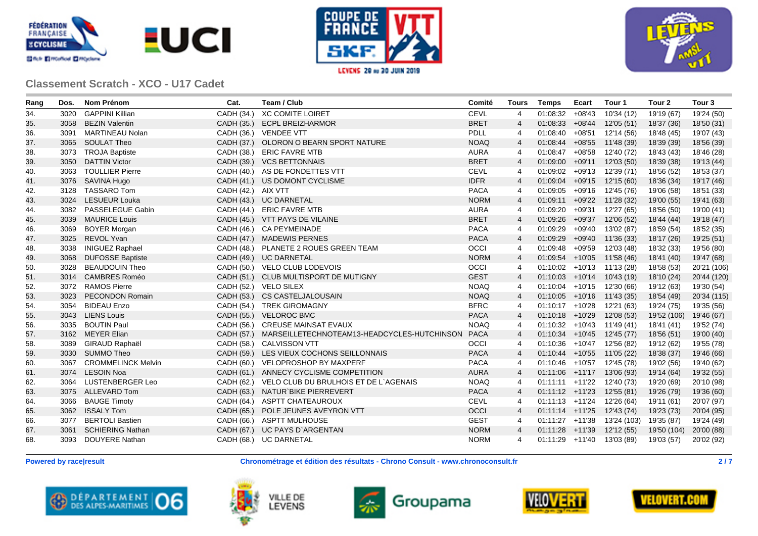





| Rang | Dos. | <b>Nom Prénom</b>         | Cat.               | Team / Club                                 | Comité      | <b>Tours</b>   | <b>Temps</b>      | Ecart    | Tour 1                        | Tour <sub>2</sub> | Tour <sub>3</sub> |
|------|------|---------------------------|--------------------|---------------------------------------------|-------------|----------------|-------------------|----------|-------------------------------|-------------------|-------------------|
| 34.  | 3020 | <b>GAPPINI Killian</b>    | CADH (34.)         | <b>XC COMITE LOIRET</b>                     | <b>CEVL</b> | 4              | 01:08:32          | $+08'43$ | 10'34 (12)                    | 19'19 (67)        | 19'24 (50)        |
| 35.  | 3058 | <b>BEZIN Valentin</b>     | CADH (35.)         | <b>ECPL BREIZHARMOR</b>                     | <b>BRET</b> | $\overline{4}$ | 01:08:33          | +08'44   | 12'05 (51)                    | 18'37 (36)        | 18'50 (31)        |
| 36.  | 3091 | <b>MARTINEAU Nolan</b>    |                    | CADH (36.) VENDEE VTT                       | <b>PDLL</b> | 4              | $01:08:40$ +08'51 |          | 12'14 (56)                    | 18'48 (45)        | 19'07 (43)        |
| 37.  |      | 3065 SOULAT Theo          | CADH (37.)         | OLORON O BEARN SPORT NATURE                 | <b>NOAQ</b> | $\overline{4}$ |                   |          | $01:08:44$ +08'55 11'48 (39)  | 18'39 (39)        | 18'56 (39)        |
| 38.  | 3073 | <b>TROJA Baptiste</b>     | CADH (38.)         | <b>ERIC FAVRE MTB</b>                       | <b>AURA</b> | 4              |                   |          | $01:08:47$ +08'58 12'40 (72)  | 18'43 (43)        | 18'46 (28)        |
| 39.  | 3050 | <b>DATTIN Victor</b>      |                    | CADH (39.) VCS BETTONNAIS                   | <b>BRET</b> | $\overline{4}$ |                   |          | $01:09:00$ +09'11 12'03 (50)  | 18'39 (38)        | 19'13 (44)        |
| 40.  |      | 3063 TOULLIER Pierre      |                    | CADH (40.) AS DE FONDETTES VTT              | <b>CEVL</b> | 4              |                   |          | $01:09:02$ +09'13 12'39 (71)  | 18'56 (52)        | 18'53 (37)        |
| 41.  |      | 3076 SAVINA Hugo          |                    | CADH (41.) US DOMONT CYCLISME               | <b>IDFR</b> | $\overline{4}$ |                   |          | $01:09:04$ +09'15 12'15 (60)  | 18'36 (34)        | 19'17 (46)        |
| 42.  | 3128 | <b>TASSARO Tom</b>        | CADH (42.) AIX VTT |                                             | <b>PACA</b> | 4              |                   |          | $01:09:05$ +09'16 12'45 (76)  | 19'06 (58)        | 18'51 (33)        |
| 43.  | 3024 | <b>LESUEUR Louka</b>      |                    | CADH (43.) UC DARNETAL                      | <b>NORM</b> | $\overline{4}$ |                   |          | 01:09:11 +09'22 11'28 (32)    | 19'00 (55)        | 19'41 (63)        |
| 44.  |      | 3082 PASSELEGUE Gabin     | CADH (44.)         | <b>ERIC FAVRE MTB</b>                       | <b>AURA</b> | 4              |                   |          | $01:09:20$ +09'31 12'27 (65)  | 18'56 (50)        | 19'00 (41)        |
| 45.  | 3039 | <b>MAURICE Louis</b>      | CADH (45.)         | VTT PAYS DE VILAINE                         | <b>BRET</b> | $\overline{4}$ | 01:09:26          | $+09'37$ | 12'06 (52)                    | 18'44 (44)        | 19'18 (47)        |
| 46.  | 3069 | <b>BOYER Morgan</b>       | CADH (46.)         | <b>CA PEYMEINADE</b>                        | <b>PACA</b> | 4              | 01:09:29          | +09'40   | 13'02 (87)                    | 18'59 (54)        | 18'52 (35)        |
| 47.  | 3025 | <b>REVOL Yvan</b>         | CADH (47.)         | <b>MADEWIS PERNES</b>                       | <b>PACA</b> | $\overline{4}$ | 01:09:29          | +09'40   | 11'36 (33)                    | 18'17 (26)        | 19'25 (51)        |
| 48.  | 3038 | <b>INIGUEZ Raphael</b>    | CADH (48.)         | PLANETE 2 ROUES GREEN TEAM                  | OCCI        | 4              | $01:09:48$ +09'59 |          | 12'03 (48)                    | 18'32 (33)        | 19'56 (80)        |
| 49.  | 3068 | <b>DUFOSSE Baptiste</b>   |                    | CADH (49.) UC DARNETAL                      | <b>NORM</b> | $\overline{4}$ |                   |          | $01:09:54$ +10'05 11'58 (46)  | 18'41 (40)        | 19'47 (68)        |
| 50.  | 3028 | <b>BEAUDOUIN Theo</b>     |                    | CADH (50.) VELO CLUB LODEVOIS               | OCCI        | 4              |                   |          | $01:10:02$ +10'13 11'13 (28)  | 18'58 (53)        | 20'21 (106)       |
| 51.  | 3014 | <b>CAMBRES Roméo</b>      |                    | CADH (51.) CLUB MULTISPORT DE MUTIGNY       | <b>GEST</b> | $\overline{4}$ |                   |          | $01:10:03$ +10'14 10'43 (19)  | 18'10 (24)        | 20'44 (120)       |
| 52.  | 3072 | <b>RAMOS Pierre</b>       |                    | CADH (52.) VELO SILEX                       | <b>NOAQ</b> | 4              |                   |          | $01:10:04$ +10'15 12'30 (66)  | 19'12 (63)        | 19'30 (54)        |
| 53.  | 3023 | <b>PECONDON Romain</b>    |                    | CADH (53.) CS CASTELJALOUSAIN               | <b>NOAQ</b> | $\overline{4}$ |                   |          | $01:10:05$ +10'16 11'43 (35)  | 18'54 (49)        | 20'34 (115)       |
| 54.  | 3054 | <b>BIDEAU Enzo</b>        | CADH (54.)         | <b>TREK GIROMAGNY</b>                       | <b>BFRC</b> | 4              |                   |          | $01:10:17$ +10'28 12'21 (63)  | 19'24 (75)        | 19'35 (56)        |
| 55.  | 3043 | <b>LIENS Louis</b>        | CADH (55.)         | <b>VELOROC BMC</b>                          | <b>PACA</b> | $\overline{4}$ |                   |          | $01:10:18$ +10'29 12'08 (53)  | 19'52 (106)       | 19'46 (67)        |
| 56.  | 3035 | <b>BOUTIN Paul</b>        | CADH (56.)         | <b>CREUSE MAINSAT EVAUX</b>                 | <b>NOAQ</b> | 4              |                   |          | $01:10:32$ +10'43 11'49 (41)  | 18'41 (41)        | 19'52 (74)        |
| 57.  |      | 3162 MEYER Elian          | CADH (57.)         | MARSEILLETECHNOTEAM13-HEADCYCLES-HUTCHINSON | PACA        | $\overline{4}$ |                   |          | $01:10:34$ +10'45 12'45 (77)  | 18'56 (51)        | 19'00 (40)        |
| 58.  | 3089 | GIRAUD Raphaël            | CADH (58.)         | <b>CALVISSON VTT</b>                        | OCCI        | 4              |                   |          | $01:10:36$ +10'47 12'56 (82)  | 19'12 (62)        | 19'55 (78)        |
| 59.  |      | 3030 SUMMO Theo           |                    | CADH (59.) LES VIEUX COCHONS SEILLONNAIS    | <b>PACA</b> | $\overline{4}$ |                   |          | $01:10:44$ +10'55 11'05 (22)  | 18'38 (37)        | 19'46 (66)        |
| 60.  | 3067 | <b>CROMMELINCK Melvin</b> | CADH (60.)         | <b>VELOPROSHOP BY MAXPERF</b>               | <b>PACA</b> | 4              |                   |          | $01:10:46$ +10'57 12'45 (78)  | 19'02 (56)        | 19'40 (62)        |
| 61.  |      | 3074 LESOIN Noa           |                    | CADH (61.) ANNECY CYCLISME COMPETITION      | <b>AURA</b> | $\overline{4}$ |                   |          | $01:11:06$ +11'17 13'06 (93)  | 19'14 (64)        | 19'32 (55)        |
| 62.  |      | 3064 LUSTENBERGER Leo     | CADH (62.)         | VELO CLUB DU BRULHOIS ET DE L'AGENAIS       | <b>NOAQ</b> | $\overline{4}$ |                   |          | $01:11:11$ +11'22 12'40 (73)  | 19'20 (69)        | 20'10 (98)        |
| 63.  |      | 3075 ALLEVARD Tom         | CADH (63.)         | NATUR`BIKE PIERREVERT                       | <b>PACA</b> | $\overline{4}$ |                   |          | $01:11:12$ +11'23 12'55 (81)  | 19'26 (79)        | 19'36 (60)        |
| 64.  | 3066 | <b>BAUGE Timoty</b>       | CADH (64.)         | ASPTT CHATEAUROUX                           | <b>CEVL</b> | 4              |                   |          | $01:11:13$ +11'24 12'26 (64)  | 19'11 (61)        | 20'07 (97)        |
| 65.  |      | 3062 ISSALY Tom           | CADH (65.)         | POLE JEUNES AVEYRON VTT                     | <b>OCCI</b> | $\overline{4}$ |                   |          | $01:11:14$ +11'25 12'43 (74)  | 19'23 (73)        | 20'04 (95)        |
| 66.  | 3077 | <b>BERTOLI Bastien</b>    |                    | CADH (66.) ASPTT MULHOUSE                   | <b>GEST</b> | 4              |                   |          | $01:11:27$ +11'38 13'24 (103) | 19'35 (87)        | 19'24 (49)        |
| 67.  | 3061 | <b>SCHIERING Nathan</b>   |                    | CADH (67.) UC PAYS D'ARGENTAN               | <b>NORM</b> | $\overline{4}$ |                   |          | $01:11:28$ +11'39 12'12 (55)  | 19'50 (104)       | 20'00 (88)        |
| 68.  | 3093 | DOUYERE Nathan            |                    | CADH (68.) UC DARNETAL                      | <b>NORM</b> | 4              |                   |          | $01:11:29$ +11'40 13'03 (89)  | 19'03 (57)        | 20'02 (92)        |

**Powered by race|result Chronométrage et édition des résultats - Chrono Consult - www.chronoconsult.fr 2 / 7**









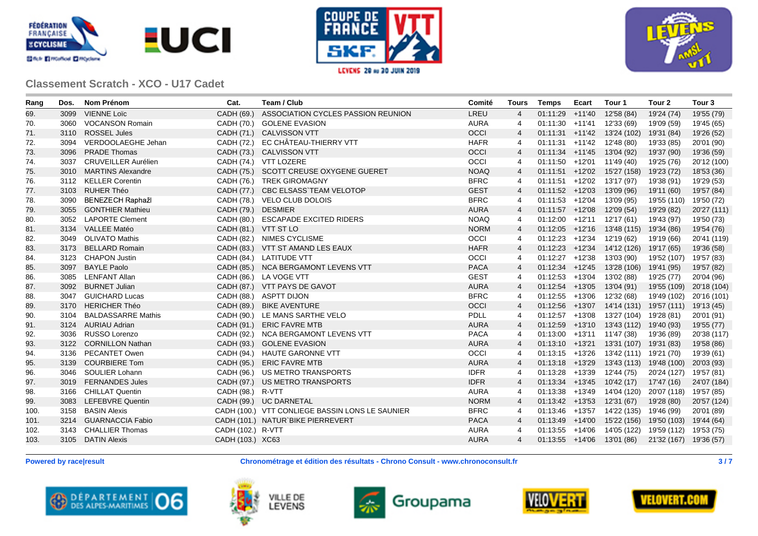





| Rang | Dos. | Nom Prénom                 | Cat.                 | Team / Club                                     | Comité      | Tours          | <b>Temps</b>      | Ecart  | Tour 1                                    | Tour 2                 | Tour <sub>3</sub> |
|------|------|----------------------------|----------------------|-------------------------------------------------|-------------|----------------|-------------------|--------|-------------------------------------------|------------------------|-------------------|
| 69.  | 3099 | <b>VIENNE Loïc</b>         | CADH (69.)           | ASSOCIATION CYCLES PASSION REUNION              | LREU        | $\overline{4}$ | 01:11:29          | +11'40 | 12'58 (84)                                | 19'24 (74)             | 19'55 (79)        |
| 70.  | 3060 | <b>VOCANSON Romain</b>     |                      | CADH (70.) GOLENE EVASION                       | <b>AURA</b> | 4              | $01:11:30$ +11'41 |        | 12'33 (69)                                | 19'09 (59)             | 19'45 (65)        |
| 71.  | 3110 | <b>ROSSEL Jules</b>        |                      | CADH (71.) CALVISSON VTT                        | OCCI        | $\overline{4}$ |                   |        | $01:11:31$ +11'42 13'24 (102)             | 19'31 (84)             | 19'26 (52)        |
| 72.  | 3094 | VERDOOLAEGHE Jehan         |                      | CADH (72.) EC CHÂTEAU-THIERRY VTT               | <b>HAFR</b> | 4              |                   |        | $01:11:31$ +11'42 12'48 (80)              | 19'33 (85)             | 20'01 (90)        |
| 73.  | 3096 | <b>PRADE Thomas</b>        |                      | CADH (73.) CALVISSON VTT                        | <b>OCCI</b> | $\overline{4}$ |                   |        | $01:11:34$ +11'45 13'04 (92)              | 19'37 (90)             | 19'36 (59)        |
| 74.  | 3037 | <b>CRUVEILLER Aurélien</b> |                      | CADH (74.) VTT LOZERE                           | OCCI        | 4              |                   |        | $01:11:50$ +12'01 11'49 (40)              | 19'25 (76)             | 20'12 (100)       |
| 75.  |      | 3010 MARTINS Alexandre     |                      | CADH (75.) SCOTT CREUSE OXYGENE GUERET          | <b>NOAQ</b> | $\overline{4}$ |                   |        | $01:11:51$ +12'02 15'27 (158)             | 19'23 (72)             | 18'53 (36)        |
| 76.  |      | 3112 KELLER Corentin       |                      | CADH (76.) TREK GIROMAGNY                       | <b>BFRC</b> | 4              |                   |        | $01:11:51$ +12'02 13'17 (97)              | 19'38 (91)             | 19'29 (53)        |
| 77.  | 3103 | <b>RUHER Théo</b>          | CADH (77.)           | <b>CBC ELSASS TEAM VELOTOP</b>                  | <b>GEST</b> | 4              | $01:11:52$ +12'03 |        | 13'09 (96)                                | 19'11 (60)             | 19'57 (84)        |
| 78.  | 3090 | <b>BENEZECH Raphažl</b>    |                      | CADH (78.) VELO CLUB DOLOIS                     | <b>BFRC</b> | 4              |                   |        | $01:11:53$ +12'04 13'09 (95)              | 19'55 (110)            | 19'50 (72)        |
| 79.  | 3055 | <b>GONTHIER Mathieu</b>    | CADH (79.) DESMIER   |                                                 | <b>AURA</b> | $\overline{4}$ | $01:11:57$ +12'08 |        | 12'09 (54)                                | 19'29 (82)             | 20'27 (111)       |
| 80.  |      | 3052 LAPORTE Clement       | CADH (80.)           | <b>ESCAPADE EXCITED RIDERS</b>                  | <b>NOAQ</b> | 4              |                   |        | $01:12:00$ +12'11 12'17 (61)              | 19'43 (97)             | 19'50 (73)        |
| 81.  |      | 3134 VALLEE Matéo          | CADH (81.) VTT ST LO |                                                 | <b>NORM</b> | 4              |                   |        | $01:12:05$ +12'16 13'48 (115)             | 19'34 (86)             | 19'54 (76)        |
| 82.  | 3049 | <b>OLIVATO Mathis</b>      |                      | CADH (82.) NIMES CYCLISME                       | OCCI        | 4              |                   |        | $01:12:23$ +12'34 12'19 (62)              | 19'19 (66)             | 20'41 (119)       |
| 83.  | 3173 | <b>BELLARD Romain</b>      |                      | CADH (83.) VTT ST AMAND LES EAUX                | <b>HAFR</b> | $\overline{4}$ |                   |        | $01:12:23$ +12'34 14'12 (126)             | 19'17 (65)             | 19'36 (58)        |
| 84.  |      | 3123 CHAPON Justin         |                      | CADH (84.) LATITUDE VTT                         | OCCI        | 4              |                   |        | $01:12:27$ +12'38 13'03 (90)              | 19'52 (107)            | 19'57 (83)        |
| 85.  | 3097 | <b>BAYLE Paolo</b>         |                      | CADH (85.) NCA BERGAMONT LEVENS VTT             | <b>PACA</b> | 4              |                   |        | $01:12:34$ +12'45 13'28 (106)             | 19'41 (95)             | 19'57 (82)        |
| 86.  |      | 3085 LENFANT Allan         |                      | CADH (86.) LA VOGE VTT                          | <b>GEST</b> | 4              |                   |        | $01:12:53$ +13'04 13'02 (88)              | 19'25 (77)             | 20'04 (96)        |
| 87.  | 3092 | <b>BURNET Julian</b>       |                      | CADH (87.) VTT PAYS DE GAVOT                    | <b>AURA</b> | $\overline{4}$ |                   |        | $01:12:54$ +13'05 13'04 (91)              | 19'55 (109)            | 20'18 (104)       |
| 88.  | 3047 | <b>GUICHARD Lucas</b>      |                      | CADH (88.) ASPTT DIJON                          | <b>BFRC</b> | 4              |                   |        | $01:12:55$ +13'06 12'32 (68)              | 19'49 (102)            | 20'16 (101)       |
| 89.  | 3170 | <b>HERICHER Théo</b>       |                      | CADH (89.) BIKE AVENTURE                        | <b>OCCI</b> | $\overline{4}$ |                   |        | $01:12:56$ +13'07 14'14 (131)             | 19'57 (111)            | 19'13 (45)        |
| 90.  | 3104 | <b>BALDASSARRE Mathis</b>  |                      | CADH (90.) LE MANS SARTHE VELO                  | <b>PDLL</b> | 4              | $01:12:57$ +13'08 |        | 13'27 (104)                               | 19'28 (81)             | 20'01 (91)        |
| 91.  |      | 3124 AURIAU Adrian         |                      | CADH (91.) ERIC FAVRE MTB                       | <b>AURA</b> | 4              |                   |        | $01:12:59$ +13'10 13'43 (112)             | 19'40 (93)             | 19'55 (77)        |
| 92.  | 3036 | RUSSO Lorenzo              |                      | CADH (92.) NCA BERGAMONT LEVENS VTT             | <b>PACA</b> | 4              |                   |        | $01:13:00$ +13'11 11'47 (38)              | 19'36 (89)             | 20'38 (117)       |
| 93.  |      | 3122 CORNILLON Nathan      |                      | CADH (93.) GOLENE EVASION                       | <b>AURA</b> | $\overline{4}$ |                   |        | $01:13:10 +13'21$ 13'31 (107) 19'31 (83)  |                        | 19'58 (86)        |
| 94.  |      | 3136 PECANTET Owen         |                      | CADH (94.) HAUTE GARONNE VTT                    | OCCI        | 4              |                   |        | $01:13:15$ +13'26 13'42 (111) 19'21 (70)  |                        | 19'39 (61)        |
| 95.  |      | 3139 COURBIERE Tom         |                      | CADH (95.) ERIC FAVRE MTB                       | <b>AURA</b> | $\overline{4}$ |                   |        | $01:13:18$ +13'29 13'43 (113) 19'48 (100) |                        | 20'03 (93)        |
| 96.  |      | 3046 SOULIER Lohann        |                      | CADH (96.) US METRO TRANSPORTS                  | <b>IDFR</b> | 4              |                   |        | $01:13:28$ +13'39 12'44 (75)              | 20'24 (127)            | 19'57 (81)        |
| 97.  |      | 3019 FERNANDES Jules       |                      | CADH (97.) US METRO TRANSPORTS                  | <b>IDFR</b> | $\overline{4}$ |                   |        | $01:13:34$ +13'45 10'42 (17)              | 17'47 (16)             | 24'07 (184)       |
| 98.  |      | 3166 CHILLAT Quentin       | CADH (98.) R-VTT     |                                                 | <b>AURA</b> | 4              |                   |        | $01:13:38$ +13'49 14'04 (120)             | 20'07 (118)            | 19'57 (85)        |
| 99.  | 3083 | LEFEBVRE Quentin           |                      | CADH (99.) UC DARNETAL                          | <b>NORM</b> | $\overline{4}$ |                   |        | $01:13:42$ +13'53 12'31 (67)              | 19'28 (80)             | 20'57 (124)       |
| 100. | 3158 | <b>BASIN Alexis</b>        |                      | CADH (100.) VTT CONLIEGE BASSIN LONS LE SAUNIER | <b>BFRC</b> | 4              |                   |        | $01:13:46$ +13'57 14'22 (135)             | 19'46 (99)             | 20'01 (89)        |
| 101. |      | 3214 GUARNACCIA Fabio      |                      | CADH (101.) NATUR`BIKE PIERREVERT               | <b>PACA</b> | 4              |                   |        | $01:13:49$ +14'00 15'22 (156)             | 19'50 (103)            | 19'44 (64)        |
| 102. |      | 3143 CHALLIER Thomas       | CADH (102.) R-VTT    |                                                 | <b>AURA</b> | 4              | $01:13:55$ +14'06 |        | 14'05 (122)                               | 19'59 (112)            | 19'53 (75)        |
| 103. |      | 3105 DATIN Alexis          | CADH (103.) XC63     |                                                 | <b>AURA</b> | 4              |                   |        | $01:13:55$ +14'06 13'01 (86)              | 21'32 (167) 19'36 (57) |                   |
|      |      |                            |                      |                                                 |             |                |                   |        |                                           |                        |                   |

**Powered by race|result Chronométrage et édition des résultats - Chrono Consult - www.chronoconsult.fr 3 / 7**









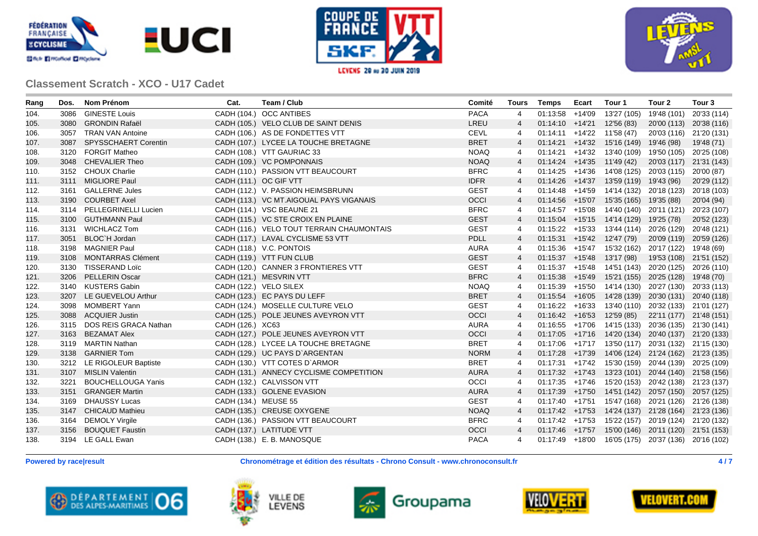





| Rang | Dos. | Nom Prénom                 | Cat.                   | Team / Club                               | Comité      | <b>Tours</b>   | Temps             | Ecart | Tour 1                                                | Tour 2                  | Tour <sub>3</sub> |
|------|------|----------------------------|------------------------|-------------------------------------------|-------------|----------------|-------------------|-------|-------------------------------------------------------|-------------------------|-------------------|
| 104. | 3086 | <b>GINESTE Louis</b>       |                        | CADH (104.) OCC ANTIBES                   | <b>PACA</b> | 4              | $01:13:58$ +14'09 |       | 13'27 (105)                                           | 19'48 (101)             | 20'33 (114)       |
| 105. | 3080 | <b>GRONDIN Rafaël</b>      |                        | CADH (105.) VELO CLUB DE SAINT DENIS      | LREU        | $\overline{4}$ |                   |       | $01:14:10$ +14'21 12'56 (83)                          | 20'00 (113) 20'38 (116) |                   |
| 106. |      | 3057 TRAN VAN Antoine      |                        | CADH (106.) AS DE FONDETTES VTT           | <b>CEVL</b> | 4              |                   |       | $01:14:11$ +14'22 11'58 (47)                          | 20'03 (116) 21'20 (131) |                   |
| 107. |      | 3087 SPYSSCHAERT Corentin  |                        | CADH (107.) LYCEE LA TOUCHE BRETAGNE      | <b>BRET</b> | 4              |                   |       | $01:14:21$ +14'32 15'16 (149) 19'46 (98)              |                         | 19'48 (71)        |
| 108. |      | 3120 FORGIT Matheo         |                        | CADH (108.) VTT GAURIAC 33                | <b>NOAQ</b> | 4              |                   |       | 01:14:21 +14'32 13'40 (109) 19'50 (105) 20'25 (108)   |                         |                   |
| 109. |      | 3048 CHEVALIER Theo        |                        | CADH (109.) VC POMPONNAIS                 | <b>NOAQ</b> | $\overline{4}$ |                   |       | $01:14:24$ +14'35 11'49 (42)                          | 20'03 (117) 21'31 (143) |                   |
| 110. |      | 3152 CHOUX Charlie         |                        | CADH (110.) PASSION VTT BEAUCOURT         | <b>BFRC</b> | 4              |                   |       | 01:14:25 +14'36 14'08 (125) 20'03 (115) 20'00 (87)    |                         |                   |
| 111. |      | 3111 MIGLIORE Paul         | CADH (111.) OC GIF VTT |                                           | <b>IDFR</b> | 4              |                   |       | $01:14:26$ +14'37 13'59 (119) 19'43 (96)              |                         | 20'29 (112)       |
| 112. |      | 3161 GALLERNE Jules        |                        | CADH (112.) V. PASSION HEIMSBRUNN         | <b>GEST</b> | 4              |                   |       | 01:14:48 +14'59 14'14 (132) 20'18 (123) 20'18 (103)   |                         |                   |
| 113. |      | 3190 COURBET Axel          |                        | CADH (113.) VC MT.AIGOUAL PAYS VIGANAIS   | <b>OCCI</b> | 4              |                   |       | $01:14:56$ +15'07 15'35 (165) 19'35 (88)              |                         | 20'04 (94)        |
| 114. |      | 3114 PELLEGRINELLI Lucien  |                        | CADH (114.) VSC BEAUNE 21                 | <b>BFRC</b> | 4              |                   |       | 01:14:57 +15'08 14'40 (140) 20'11 (121) 20'23 (107)   |                         |                   |
| 115. |      | 3100 GUTHMANN Paul         |                        | CADH (115.) VC STE CROIX EN PLAINE        | <b>GEST</b> | 4              |                   |       | $01:15:04$ +15'15 14'14 (129) 19'25 (78)              |                         | 20'52 (123)       |
| 116. |      | 3131 WICHLACZ Tom          |                        | CADH (116.) VELO TOUT TERRAIN CHAUMONTAIS | <b>GEST</b> | 4              |                   |       | 01:15:22 +15'33 13'44 (114) 20'26 (129) 20'48 (121)   |                         |                   |
| 117. |      | 3051 BLOC'H Jordan         |                        | CADH (117.) LAVAL CYCLISME 53 VTT         | <b>PDLL</b> | $\overline{4}$ |                   |       | $01:15:31$ +15'42 12'47 (79)                          | 20'09 (119) 20'59 (126) |                   |
| 118. |      | 3198 MAGNIER Paul          |                        | CADH (118.) V.C. PONTOIS                  | <b>AURA</b> | 4              |                   |       | $01:15:36$ +15'47 15'32 (162) 20'17 (122) 19'48 (69)  |                         |                   |
| 119. |      | 3108 MONTARRAS Clément     |                        | CADH (119.) VTT FUN CLUB                  | <b>GEST</b> | $\overline{4}$ |                   |       | $01:15:37$ +15'48 13'17 (98)                          | 19'53 (108) 21'51 (152) |                   |
| 120. |      | 3130 TISSERAND Loïc        |                        | CADH (120.) CANNER 3 FRONTIERES VTT       | <b>GEST</b> | 4              |                   |       | $01:15:37$ +15'48 14'51 (143) 20'20 (125) 20'26 (110) |                         |                   |
| 121. | 3206 | <b>PELLERIN Oscar</b>      |                        | CADH (121.) MESVRIN VTT                   | <b>BFRC</b> | 4              |                   |       | 01:15:38 +15'49 15'21 (155) 20'25 (128) 19'48 (70)    |                         |                   |
| 122. |      | 3140 KUSTERS Gabin         |                        | CADH (122.) VELO SILEX                    | <b>NOAQ</b> | 4              |                   |       | 01:15:39 +15'50 14'14 (130) 20'27 (130) 20'33 (113)   |                         |                   |
| 123. |      | 3207 LE GUEVELOU Arthur    |                        | CADH (123.) EC PAYS DU LEFF               | <b>BRET</b> | 4              |                   |       | 01:15:54 +16'05 14'28 (139) 20'30 (131) 20'40 (118)   |                         |                   |
| 124. | 3098 | MOMBERT Yann               |                        | CADH (124.) MOSELLE CULTURE VELO          | <b>GEST</b> | 4              |                   |       | 01:16:22 +16'33 13'40 (110) 20'32 (133) 21'01 (127)   |                         |                   |
| 125. |      | 3088 ACQUIER Justin        |                        | CADH (125.) POLE JEUNES AVEYRON VTT       | <b>OCCI</b> | 4              |                   |       | $01:16:42$ +16'53 12'59 (85)                          | 22'11 (177) 21'48 (151) |                   |
| 126. |      | 3115 DOS REIS GRACA Nathan | CADH (126.) XC63       |                                           | <b>AURA</b> | 4              |                   |       | 01:16:55 +17'06 14'15 (133) 20'36 (135) 21'30 (141)   |                         |                   |
| 127. |      | 3163 BEZAMAT Alex          |                        | CADH (127.) POLE JEUNES AVEYRON VTT       | <b>OCCI</b> | $\overline{4}$ |                   |       | 01:17:05 +17'16 14'20 (134) 20'40 (137) 21'20 (133)   |                         |                   |
| 128. |      | 3119 MARTIN Nathan         |                        | CADH (128.) LYCEE LA TOUCHE BRETAGNE      | <b>BRET</b> | 4              |                   |       | 01:17:06 +17'17 13'50 (117) 20'31 (132) 21'15 (130)   |                         |                   |
| 129. |      | 3138 GARNIER Tom           |                        | CADH (129.) UC PAYS D'ARGENTAN            | <b>NORM</b> | $\overline{4}$ |                   |       | 01:17:28 +17'39 14'06 (124) 21'24 (162) 21'23 (135)   |                         |                   |
| 130. |      | 3212 LE RIGOLEUR Baptiste  |                        | CADH (130.) VTT COTES D'ARMOR             | <b>BRET</b> | 4              |                   |       | 01:17:31 +17'42 15'30 (159) 20'44 (139) 20'25 (109)   |                         |                   |
| 131. |      | 3107 MISLIN Valentin       |                        | CADH (131.) ANNECY CYCLISME COMPETITION   | <b>AURA</b> | 4              |                   |       | $01:17:32$ +17'43 13'23 (101) 20'44 (140) 21'58 (156) |                         |                   |
| 132. | 3221 | <b>BOUCHELLOUGA Yanis</b>  |                        | CADH (132.) CALVISSON VTT                 | OCCI        | $\overline{4}$ |                   |       | 01:17:35 +17'46 15'20 (153) 20'42 (138) 21'23 (137)   |                         |                   |
| 133. |      | 3151 GRANGER Martin        |                        | CADH (133.) GOLENE EVASION                | <b>AURA</b> | 4              |                   |       | 01:17:39 +17'50 14'51 (142) 20'57 (150) 20'57 (125)   |                         |                   |
| 134. | 3169 | <b>DHAUSSY Lucas</b>       | CADH (134.) MEUSE 55   |                                           | <b>GEST</b> | 4              |                   |       | $01:17:40$ +17'51 15'47 (168) 20'21 (126) 21'26 (138) |                         |                   |
| 135. |      | 3147 CHICAUD Mathieu       |                        | CADH (135.) CREUSE OXYGENE                | <b>NOAQ</b> | $\overline{4}$ |                   |       | $01:17:42$ +17'53 14'24 (137) 21'28 (164) 21'23 (136) |                         |                   |
| 136. |      | 3164 DEMOLY Virgile        |                        | CADH (136.) PASSION VTT BEAUCOURT         | <b>BFRC</b> | 4              |                   |       | 01:17:42 +17'53 15'22 (157) 20'19 (124) 21'20 (132)   |                         |                   |
| 137. |      | 3156 BOUQUET Faustin       |                        | CADH (137.) LATITUDE VTT                  | <b>OCCI</b> | $\overline{4}$ |                   |       | 01:17:46 +17'57 15'00 (146) 20'11 (120) 21'51 (153)   |                         |                   |
| 138. |      | 3194 LE GALL Ewan          |                        | CADH (138.) E. B. MANOSQUE                | <b>PACA</b> | 4              |                   |       | 01:17:49 +18'00 16'05 (175) 20'37 (136) 20'16 (102)   |                         |                   |

**Powered by race|result Chronométrage et édition des résultats - Chrono Consult - www.chronoconsult.fr 4 / 7**









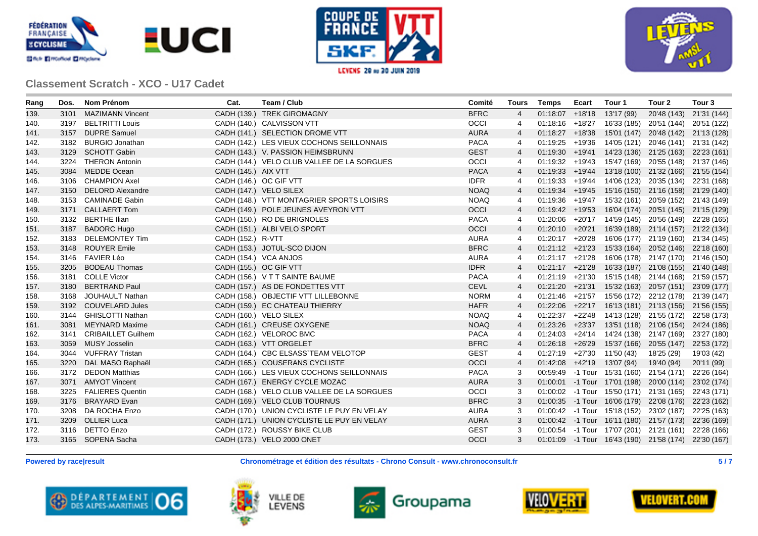





| Rang | Dos. | Nom Prénom                | Cat.                   | Team / Club                                | Comité      | <b>Tours</b>   | Temps | Ecart | Tour 1                       | Tour 2                                                | Tour <sub>3</sub> |
|------|------|---------------------------|------------------------|--------------------------------------------|-------------|----------------|-------|-------|------------------------------|-------------------------------------------------------|-------------------|
| 139. | 3101 | MAZIMANN Vincent          |                        | CADH (139.) TREK GIROMAGNY                 | <b>BFRC</b> | $\overline{4}$ |       |       | $01:18:07$ +18'18 13'17 (99) | 20'48 (143) 21'31 (144)                               |                   |
| 140. |      | 3197 BELTRITTI Louis      |                        | CADH (140.) CALVISSON VTT                  | <b>OCCI</b> | 4              |       |       |                              | 01:18:16 +18'27 16'33 (185) 20'51 (144) 20'51 (122)   |                   |
| 141. |      | 3157 DUPRE Samuel         |                        | CADH (141.) SELECTION DROME VTT            | <b>AURA</b> | $\overline{4}$ |       |       |                              | 01:18:27 +18'38 15'01 (147) 20'48 (142) 21'13 (128)   |                   |
| 142. | 3182 | <b>BURGIO Jonathan</b>    |                        | CADH (142.) LES VIEUX COCHONS SEILLONNAIS  | <b>PACA</b> | 4              |       |       |                              | 01:19:25 +19'36 14'05 (121) 20'46 (141) 21'31 (142)   |                   |
| 143. |      | 3129 SCHOTT Gabin         |                        | CADH (143.) V. PASSION HEIMSBRUNN          | <b>GEST</b> | $\overline{4}$ |       |       |                              | $01:19:30$ +19'41 14'23 (136) 21'25 (163) 22'23 (161) |                   |
| 144. |      | 3224 THERON Antonin       |                        | CADH (144.) VELO CLUB VALLEE DE LA SORGUES | OCCI        | 4              |       |       |                              | 01:19:32 +19'43 15'47 (169) 20'55 (148) 21'37 (146)   |                   |
| 145. |      | 3084 MEDDE Ocean          | CADH (145.) AIX VTT    |                                            | <b>PACA</b> | $\overline{4}$ |       |       |                              | 01:19:33 +19'44 13'18 (100) 21'32 (166) 21'55 (154)   |                   |
| 146. |      | 3106 CHAMPION Axel        |                        | CADH (146.) OC GIF VTT                     | <b>IDFR</b> | 4              |       |       |                              | 01:19:33 +19'44 14'06 (123) 20'35 (134) 22'31 (168)   |                   |
| 147. |      | 3150 DELORD Alexandre     |                        | CADH (147.) VELO SILEX                     | <b>NOAQ</b> | $\overline{4}$ |       |       |                              | 01:19:34 +19'45 15'16 (150) 21'16 (158) 21'29 (140)   |                   |
| 148. |      | 3153 CAMINADE Gabin       |                        | CADH (148.) VTT MONTAGRIER SPORTS LOISIRS  | <b>NOAQ</b> | 4              |       |       |                              | 01:19:36 +19'47 15'32 (161) 20'59 (152) 21'43 (149)   |                   |
| 149. |      | 3171 CALLAERT Tom         |                        | CADH (149.) POLE JEUNES AVEYRON VTT        | <b>OCCI</b> | 4              |       |       |                              | 01:19:42 +19'53 16'04 (174) 20'51 (145) 21'15 (129)   |                   |
| 150. |      | 3132 BERTHE Ilian         |                        | CADH (150.) RO DE BRIGNOLES                | <b>PACA</b> | 4              |       |       |                              | 01:20:06 +20'17 14'59 (145) 20'56 (149) 22'28 (165)   |                   |
| 151. |      | 3187 BADORC Hugo          |                        | CADH (151.) ALBI VELO SPORT                | OCCI        | 4              |       |       |                              | 01:20:10 +20'21 16'39 (189) 21'14 (157) 21'22 (134)   |                   |
| 152. | 3183 | <b>DELEMONTEY Tim</b>     | CADH (152.) R-VTT      |                                            | <b>AURA</b> | 4              |       |       |                              | 01:20:17 +20'28 16'06 (177) 21'19 (160) 21'34 (145)   |                   |
| 153. |      | 3148 ROUYER Emile         |                        | CADH (153.) JOTUL-SCO DIJON                | <b>BFRC</b> | 4              |       |       |                              | $01:21:12$ +21'23 15'33 (164) 20'52 (146) 22'18 (160) |                   |
| 154. |      | 3146 FAVIER Léo           |                        | CADH (154.) VCA ANJOS                      | <b>AURA</b> | 4              |       |       |                              | 01:21:17 +21'28 16'06 (178) 21'47 (170) 21'46 (150)   |                   |
| 155. | 3205 | <b>BODEAU Thomas</b>      | CADH (155.) OC GIF VTT |                                            | <b>IDFR</b> | $\overline{4}$ |       |       |                              | 01:21:17 +21'28 16'33 (187) 21'08 (155) 21'40 (148)   |                   |
| 156. | 3181 | <b>COLLE Victor</b>       |                        | CADH (156.) V T T SAINTE BAUME             | <b>PACA</b> | 4              |       |       |                              | 01:21:19 +21'30 15'15 (148) 21'44 (168) 21'59 (157)   |                   |
| 157. |      | 3180 BERTRAND Paul        |                        | CADH (157.) AS DE FONDETTES VTT            | <b>CEVL</b> | 4              |       |       |                              | $01:21:20$ +21'31 15'32 (163) 20'57 (151) 23'09 (177) |                   |
| 158. |      | 3168 JOUHAULT Nathan      |                        | CADH (158.) OBJECTIF VTT LILLEBONNE        | <b>NORM</b> | 4              |       |       |                              | $01:21:46$ +21'57 15'56 (172) 22'12 (178) 21'39 (147) |                   |
| 159. |      | 3192 COUVELARD Jules      |                        | CADH (159.) EC CHATEAU THIERRY             | <b>HAFR</b> | $\overline{4}$ |       |       |                              | 01:22:06 +22'17 16'13 (181) 21'13 (156) 21'56 (155)   |                   |
| 160. |      | 3144 GHISLOTTI Nathan     |                        | CADH (160.) VELO SILEX                     | <b>NOAQ</b> | 4              |       |       |                              | 01:22:37 +22'48 14'13 (128) 21'55 (172) 22'58 (173)   |                   |
| 161. | 3081 | <b>MEYNARD Maxime</b>     |                        | CADH (161.) CREUSE OXYGENE                 | <b>NOAQ</b> | $\overline{4}$ |       |       |                              | 01:23:26 +23'37 13'51 (118) 21'06 (154) 24'24 (186)   |                   |
| 162. | 3141 | <b>CRIBAILLET Guilhem</b> |                        | CADH (162.) VELOROC BMC                    | <b>PACA</b> | 4              |       |       |                              | 01:24:03 +24'14 14'24 (138) 21'47 (169) 23'27 (180)   |                   |
| 163. | 3059 | MUSY Josselin             |                        | CADH (163.) VTT ORGELET                    | <b>BFRC</b> | $\overline{4}$ |       |       |                              | 01:26:18 +26'29 15'37 (166) 20'55 (147) 22'53 (172)   |                   |
| 164. |      | 3044 VUFFRAY Tristan      |                        | CADH (164.) CBC ELSASS TEAM VELOTOP        | <b>GEST</b> | 4              |       |       | $01:27:19$ +27'30 11'50 (43) | 18'25 (29)                                            | 19'03 (42)        |
| 165. | 3220 | DAL MASO Raphaël          |                        | CADH (165.) COUSERANS CYCLISTE             | OCCI        | 4              |       |       | $01:42:08$ +42'19 13'07 (94) | 19'40 (94)                                            | 20'11 (99)        |
| 166. | 3172 | <b>DEDON Matthias</b>     |                        | CADH (166.) LES VIEUX COCHONS SEILLONNAIS  | <b>PACA</b> | 3              |       |       |                              | 00:59:49 -1 Tour 15'31 (160) 21'54 (171)              | 22'26 (164)       |
| 167. |      | 3071 AMYOT Vincent        |                        | CADH (167.) ENERGY CYCLE MOZAC             | <b>AURA</b> | 3              |       |       |                              | 01:00:01 -1 Tour 17'01 (198) 20'00 (114)              | 23'02 (174)       |
| 168. | 3225 | <b>FALIERES Quentin</b>   |                        | CADH (168.) VELO CLUB VALLEE DE LA SORGUES | OCCI        | 3              |       |       |                              | 01:00:02 -1 Tour 15'50 (171) 21'31 (165) 22'43 (171)  |                   |
| 169. |      | 3176 BRAYARD Evan         |                        | CADH (169.) VELO CLUB TOURNUS              | <b>BFRC</b> | 3              |       |       |                              | 01:00:35 -1 Tour 16'06 (179) 22'08 (176) 22'23 (162)  |                   |
| 170. |      | 3208 DA ROCHA Enzo        |                        | CADH (170.) UNION CYCLISTE LE PUY EN VELAY | <b>AURA</b> | 3              |       |       |                              | 01:00:42 -1 Tour 15'18 (152) 23'02 (187) 22'25 (163)  |                   |
| 171. |      | 3209 OLLIER Luca          |                        | CADH (171.) UNION CYCLISTE LE PUY EN VELAY | <b>AURA</b> | 3              |       |       |                              | 01:00:42 -1 Tour 16'11 (180) 21'57 (173) 22'36 (169)  |                   |
| 172. |      | 3116 DETTO Enzo           |                        | CADH (172.) ROUSSY BIKE CLUB               | <b>GEST</b> | 3              |       |       |                              | 01:00:54 -1 Tour 17'07 (201) 21'21 (161) 22'28 (166)  |                   |
| 173. |      | 3165 SOPENA Sacha         |                        | CADH (173.) VELO 2000 ONET                 | <b>OCCI</b> | 3              |       |       |                              | 01:01:09 -1 Tour 16'43 (190) 21'58 (174) 22'30 (167)  |                   |
|      |      |                           |                        |                                            |             |                |       |       |                              |                                                       |                   |

**Powered by race|result Chronométrage et édition des résultats - Chrono Consult - www.chronoconsult.fr 5 / 7**









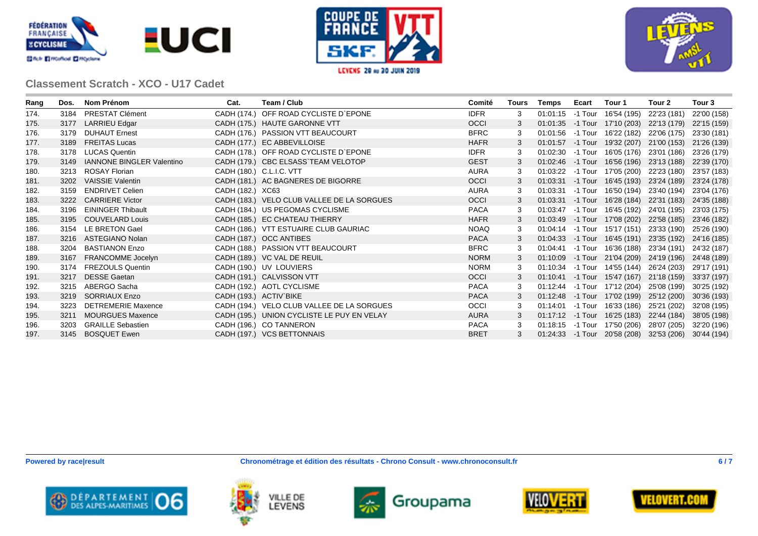





| Rang | Dos. | Nom Prénom                       | Cat.                     | Team / Club                                | Comité      | Tours | <b>Temps</b> | Ecart | Tour 1                                   | Tour 2      | Tour 3      |
|------|------|----------------------------------|--------------------------|--------------------------------------------|-------------|-------|--------------|-------|------------------------------------------|-------------|-------------|
| 174. | 3184 | PRESTAT Clément                  |                          | CADH (174.) OFF ROAD CYCLISTE D'EPONE      | <b>IDFR</b> | 3     | 01:01:15     |       | -1 Tour 16'54 (195)                      | 22'23 (181) | 22'00 (158) |
| 175. | 3177 | <b>LARRIEU Edgar</b>             |                          | CADH (175.) HAUTE GARONNE VTT              | <b>OCCI</b> | 3     |              |       | 01:01:35 -1 Tour 17'10 (203)             | 22'13 (179) | 22'15 (159) |
| 176. | 3179 | <b>DUHAUT Ernest</b>             |                          | CADH (176.) PASSION VTT BEAUCOURT          | <b>BFRC</b> | 3     | 01:01:56     |       | -1 Tour 16'22 (182)                      | 22'06 (175) | 23'30 (181) |
| 177. | 3189 | <b>FREITAS Lucas</b>             |                          | CADH (177.) EC ABBEVILLOISE                | <b>HAFR</b> | 3     |              |       | 01:01:57 -1 Tour 19'32 (207)             | 21'00 (153) | 21'26 (139) |
| 178. | 3178 | <b>LUCAS Quentin</b>             |                          | CADH (178.) OFF ROAD CYCLISTE D'EPONE      | <b>IDFR</b> | 3     |              |       | 01:02:30 -1 Tour 16'05 (176)             | 23'01 (186) | 23'26 (179) |
| 179. | 3149 | <b>IANNONE BINGLER Valentino</b> |                          | CADH (179.) CBC ELSASS TEAM VELOTOP        | <b>GEST</b> | 3     |              |       | 01:02:46 -1 Tour 16'56 (196)             | 23'13 (188) | 22'39 (170) |
| 180. | 3213 | <b>ROSAY Florian</b>             | CADH (180.) C.L.I.C. VTT |                                            | <b>AURA</b> | 3     |              |       | 01:03:22 -1 Tour 17'05 (200)             | 22'23 (180) | 23'57 (183) |
| 181. | 3202 | <b>VAISSIE Valentin</b>          |                          | CADH (181.) AC BAGNERES DE BIGORRE         | <b>OCCI</b> | 3     | 01:03:31     |       | -1 Tour 16'45 (193)                      | 23'24 (189) | 23'24 (178) |
| 182. | 3159 | <b>ENDRIVET Celien</b>           | CADH (182.) XC63         |                                            | <b>AURA</b> | 3     | 01:03:31     |       | -1 Tour 16'50 (194)                      | 23'40 (194) | 23'04 (176) |
| 183. | 3222 | <b>CARRIERE Victor</b>           |                          | CADH (183.) VELO CLUB VALLEE DE LA SORGUES | <b>OCCI</b> | 3     | 01:03:31     |       | -1 Tour 16'28 (184)                      | 22'31 (183) | 24'35 (188) |
| 184. | 3196 | <b>EININGER Thibault</b>         |                          | CADH (184.) US PEGOMAS CYCLISME            | <b>PACA</b> | 3     | 01:03:47     |       | -1 Tour 16'45 (192)                      | 24'01 (195) | 23'03 (175) |
| 185. | 3195 | <b>COUVELARD Louis</b>           |                          | CADH (185.) EC CHATEAU THIERRY             | <b>HAFR</b> | 3     | 01:03:49     |       | -1 Tour 17'08 (202)                      | 22'58 (185) | 23'46 (182) |
| 186. | 3154 | LE BRETON Gael                   |                          | CADH (186.) VTT ESTUAIRE CLUB GAURIAC      | NOAQ        | 3     |              |       | 01:04:14 -1 Tour 15'17 (151)             | 23'33 (190) | 25'26 (190) |
| 187. | 3216 | ASTEGIANO Nolan                  |                          | CADH (187.) OCC ANTIBES                    | <b>PACA</b> | 3     |              |       | 01:04:33 -1 Tour 16'45 (191)             | 23'35 (192) | 24'16 (185) |
| 188. | 3204 | <b>BASTIANON Enzo</b>            |                          | CADH (188.) PASSION VTT BEAUCOURT          | <b>BFRC</b> | 3     | 01:04:41     |       | -1 Tour 16'36 (188)                      | 23'34 (191) | 24'32 (187) |
| 189. | 3167 | FRANCOMME Jocelyn                |                          | CADH (189.) VC VAL DE REUIL                | <b>NORM</b> | 3     | 01:10:09     |       | -1 Tour 21'04 (209)                      | 24'19 (196) | 24'48 (189) |
| 190. | 3174 | <b>FREZOULS Quentin</b>          |                          | CADH (190.) UV LOUVIERS                    | <b>NORM</b> | 3     | 01:10:34     |       | -1 Tour 14'55 (144)                      | 26'24 (203) | 29'17 (191) |
| 191. | 3217 | <b>DESSE Gaetan</b>              |                          | CADH (191.) CALVISSON VTT                  | <b>OCCI</b> | 3     |              |       | 01:10:41 -1 Tour 15'47 (167)             | 21'18 (159) | 33'37 (197) |
| 192. | 3215 | ABERGO Sacha                     |                          | CADH (192.) AOTL CYCLISME                  | <b>PACA</b> | 3     |              |       | 01:12:44 -1 Tour 17'12 (204)             | 25'08 (199) | 30'25 (192) |
| 193. | 3219 | <b>SORRIAUX Enzo</b>             | CADH (193.) ACTIV BIKE   |                                            | <b>PACA</b> | 3     |              |       | 01:12:48 -1 Tour 17'02 (199)             | 25'12 (200) | 30'36 (193) |
| 194. | 3223 | <b>DETREMERIE Maxence</b>        |                          | CADH (194.) VELO CLUB VALLEE DE LA SORGUES | OCCI        | 3     | 01:14:01     |       | -1 Tour 16'33 (186)                      | 25'21 (202) | 32'08 (195) |
| 195. | 3211 | <b>MOURGUES Maxence</b>          |                          | CADH (195.) UNION CYCLISTE LE PUY EN VELAY | AURA        | 3     |              |       | 01:17:12 -1 Tour 16'25 (183)             | 22'44 (184) | 38'05 (198) |
| 196. | 3203 | <b>GRAILLE Sebastien</b>         |                          | CADH (196.) CO TANNERON                    | <b>PACA</b> | 3     | 01:18:15     |       | -1 Tour 17'50 (206)                      | 28'07 (205) | 32'20 (196) |
| 197. |      | 3145 BOSQUET Ewen                |                          | CADH (197.) VCS BETTONNAIS                 | <b>BRET</b> | 3     |              |       | 01:24:33 -1 Tour 20'58 (208) 32'53 (206) |             | 30'44 (194) |







![](_page_5_Picture_9.jpeg)

![](_page_5_Picture_10.jpeg)

![](_page_5_Picture_11.jpeg)

![](_page_5_Picture_12.jpeg)